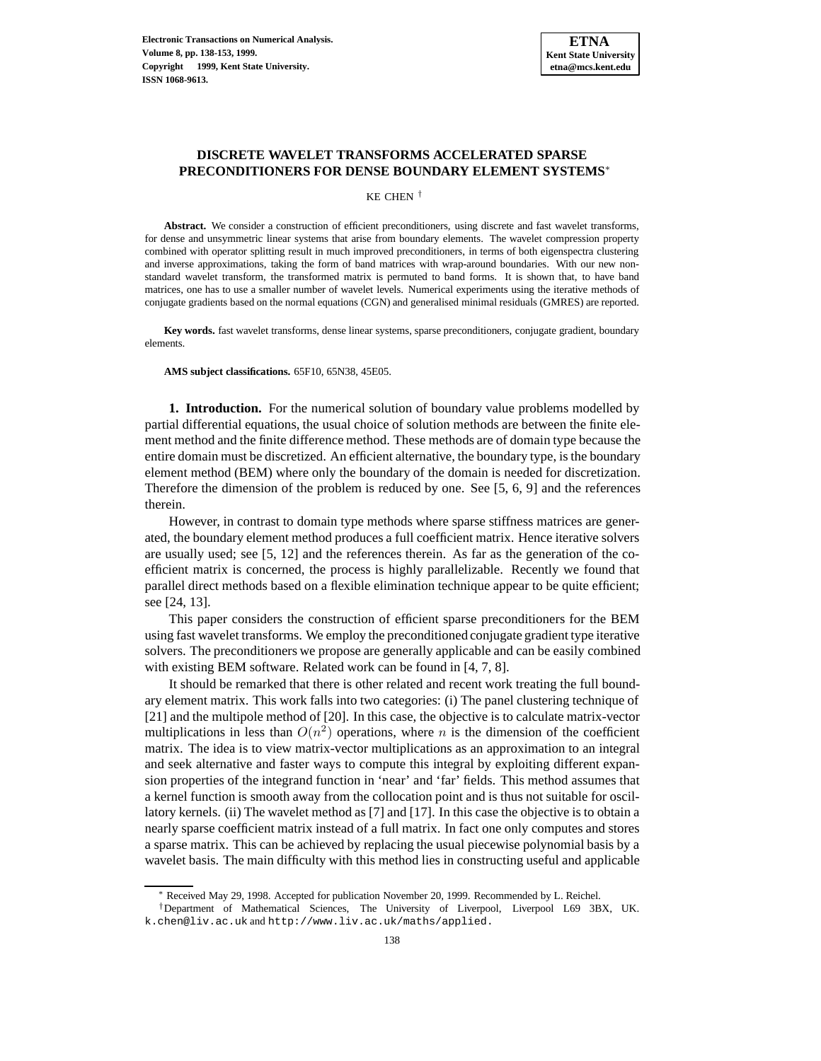

# **DISCRETE WAVELET TRANSFORMS ACCELERATED SPARSE PRECONDITIONERS FOR DENSE BOUNDARY ELEMENT SYSTEMS**<sup>∗</sup>

KE CHEN †

**Abstract.** We consider a construction of efficient preconditioners, using discrete and fast wavelet transforms, for dense and unsymmetric linear systems that arise from boundary elements. The wavelet compression property combined with operator splitting result in much improved preconditioners, in terms of both eigenspectra clustering and inverse approximations, taking the form of band matrices with wrap-around boundaries. With our new nonstandard wavelet transform, the transformed matrix is permuted to band forms. It is shown that, to have band matrices, one has to use a smaller number of wavelet levels. Numerical experiments using the iterative methods of conjugate gradients based on the normal equations (CGN) and generalised minimal residuals (GMRES) are reported.

**Key words.** fast wavelet transforms, dense linear systems, sparse preconditioners, conjugate gradient, boundary elements.

**AMS subject classifications.** 65F10, 65N38, 45E05.

**1. Introduction.** For the numerical solution of boundary value problems modelled by partial differential equations, the usual choice of solution methods are between the finite element method and the finite difference method. These methods are of domain type because the entire domain must be discretized. An efficient alternative, the boundary type, is the boundary element method (BEM) where only the boundary of the domain is needed for discretization. Therefore the dimension of the problem is reduced by one. See [5, 6, 9] and the references therein.

However, in contrast to domain type methods where sparse stiffness matrices are generated, the boundary element method produces a full coefficient matrix. Hence iterative solvers are usually used; see [5, 12] and the references therein. As far as the generation of the coefficient matrix is concerned, the process is highly parallelizable. Recently we found that parallel direct methods based on a flexible elimination technique appear to be quite efficient; see [24, 13].

This paper considers the construction of efficient sparse preconditioners for the BEM using fast wavelet transforms. We employ the preconditioned conjugate gradient type iterative solvers. The preconditioners we propose are generally applicable and can be easily combined with existing BEM software. Related work can be found in [4, 7, 8].

It should be remarked that there is other related and recent work treating the full boundary element matrix. This work falls into two categories: (i) The panel clustering technique of [21] and the multipole method of [20]. In this case, the objective is to calculate matrix-vector multiplications in less than  $O(n^2)$  operations, where n is the dimension of the coefficient matrix. The idea is to view matrix-vector multiplications as an approximation to an integral and seek alternative and faster ways to compute this integral by exploiting different expansion properties of the integrand function in 'near' and 'far' fields. This method assumes that a kernel function is smooth away from the collocation point and is thus not suitable for oscillatory kernels. (ii) The wavelet method as [7] and [17]. In this case the objective is to obtain a nearly sparse coefficient matrix instead of a full matrix. In fact one only computes and stores a sparse matrix. This can be achieved by replacing the usual piecewise polynomial basis by a wavelet basis. The main difficulty with this method lies in constructing useful and applicable

<sup>∗</sup> Received May 29, 1998. Accepted for publication November 20, 1999. Recommended by L. Reichel.

<sup>†</sup>Department of Mathematical Sciences, The University of Liverpool, Liverpool L69 3BX, UK. k.chen@liv.ac.uk and http://www.liv.ac.uk/maths/applied.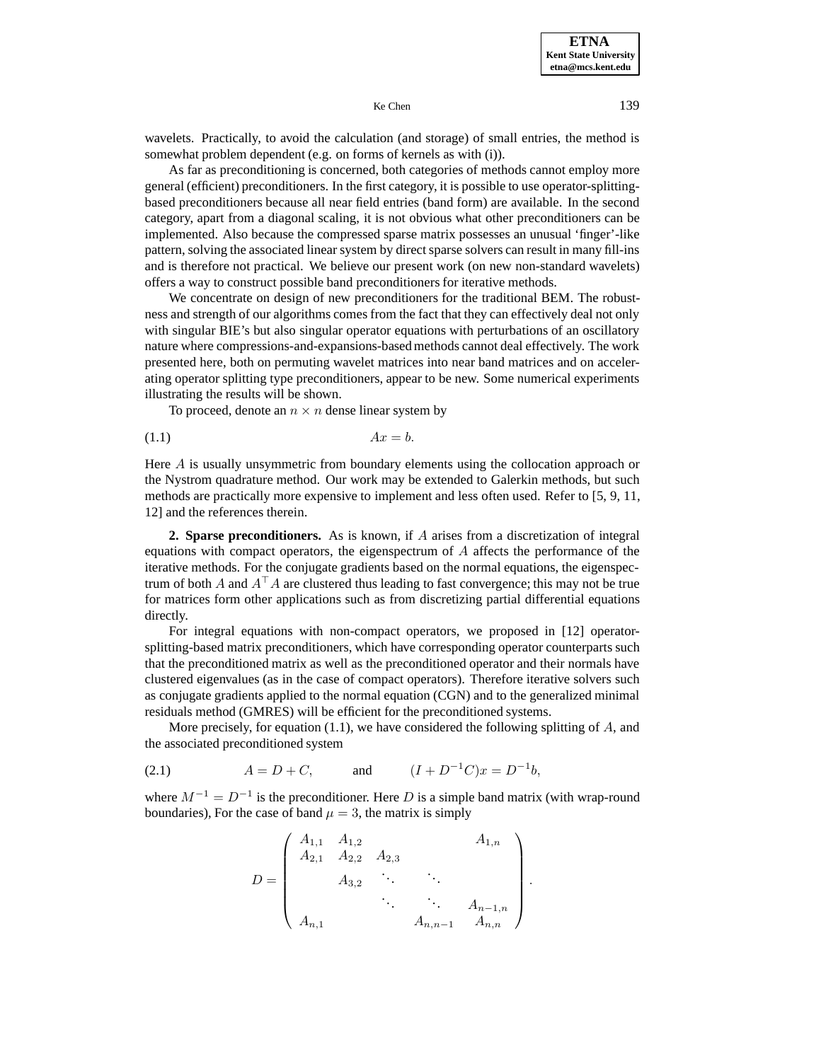**ETNA Kent State University etna@mcs.kent.edu**

Ke Chen 139

wavelets. Practically, to avoid the calculation (and storage) of small entries, the method is somewhat problem dependent (e.g. on forms of kernels as with (i)).

As far as preconditioning is concerned, both categories of methods cannot employ more general (efficient) preconditioners. In the first category, it is possible to use operator-splittingbased preconditioners because all near field entries (band form) are available. In the second category, apart from a diagonal scaling, it is not obvious what other preconditioners can be implemented. Also because the compressed sparse matrix possesses an unusual 'finger'-like pattern, solving the associated linear system by direct sparse solvers can result in many fill-ins and is therefore not practical. We believe our present work (on new non-standard wavelets) offers a way to construct possible band preconditioners for iterative methods.

We concentrate on design of new preconditioners for the traditional BEM. The robustness and strength of our algorithms comes from the fact that they can effectively deal not only with singular BIE's but also singular operator equations with perturbations of an oscillatory nature where compressions-and-expansions-based methods cannot deal effectively. The work presented here, both on permuting wavelet matrices into near band matrices and on accelerating operator splitting type preconditioners, appear to be new. Some numerical experiments illustrating the results will be shown.

To proceed, denote an  $n \times n$  dense linear system by

$$
(1.1) \t\t Ax = b.
$$

Here A is usually unsymmetric from boundary elements using the collocation approach or the Nystrom quadrature method. Our work may be extended to Galerkin methods, but such methods are practically more expensive to implement and less often used. Refer to [5, 9, 11, 12] and the references therein.

**2. Sparse preconditioners.** As is known, if A arises from a discretization of integral equations with compact operators, the eigenspectrum of  $A$  affects the performance of the iterative methods. For the conjugate gradients based on the normal equations, the eigenspectrum of both A and  $A^{\dagger}A$  are clustered thus leading to fast convergence; this may not be true for matrices form other applications such as from discretizing partial differential equations directly.

For integral equations with non-compact operators, we proposed in [12] operatorsplitting-based matrix preconditioners, which have corresponding operator counterparts such that the preconditioned matrix as well as the preconditioned operator and their normals have clustered eigenvalues (as in the case of compact operators). Therefore iterative solvers such as conjugate gradients applied to the normal equation (CGN) and to the generalized minimal residuals method (GMRES) will be efficient for the preconditioned systems.

More precisely, for equation  $(1.1)$ , we have considered the following splitting of  $A$ , and the associated preconditioned system

(2.1)  $A = D + C$ , and  $(I + D^{-1}C)x = D^{-1}b$ ,

where  $M^{-1} = D^{-1}$  is the preconditioner. Here D is a simple band matrix (with wrap-round boundaries), For the case of band  $\mu = 3$ , the matrix is simply

$$
D = \begin{pmatrix} A_{1,1} & A_{1,2} & A_{1,n} \\ A_{2,1} & A_{2,2} & A_{2,3} & A_{3,2} & \cdots & A_{n-1,n} \\ & \ddots & \ddots & \ddots & A_{n-1,n} \\ A_{n,1} & A_{n,n-1} & A_{n,n} \end{pmatrix}
$$

.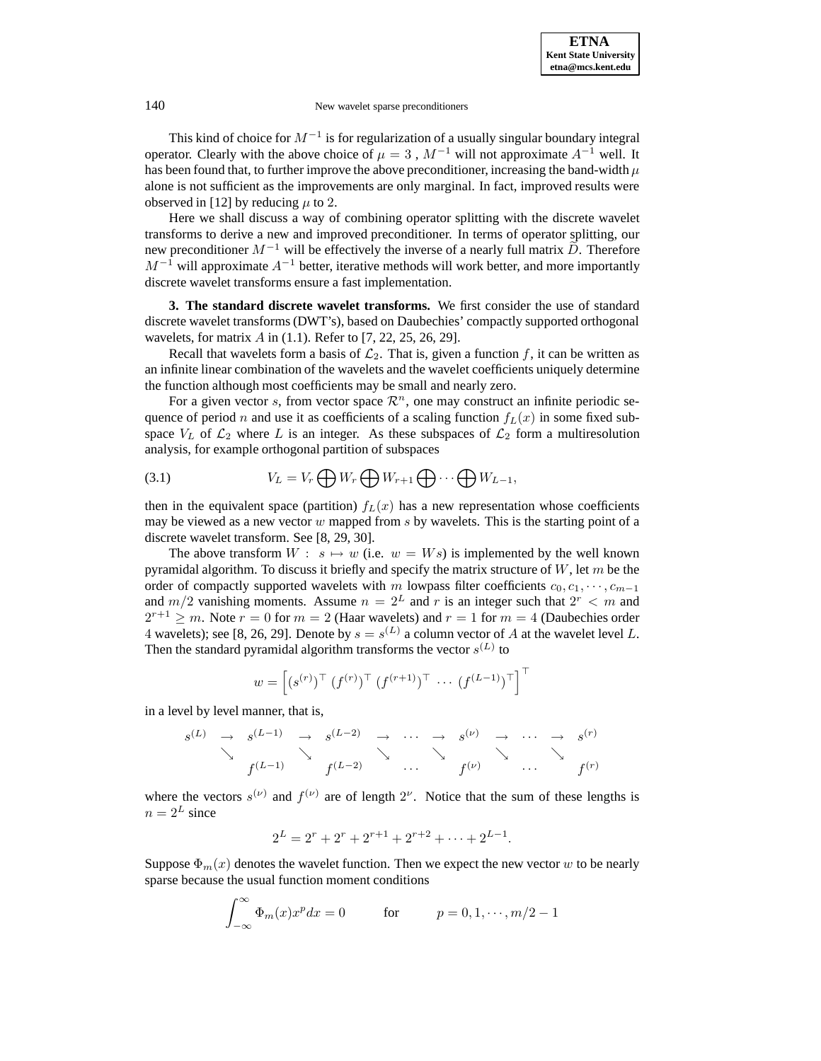This kind of choice for  $M^{-1}$  is for regularization of a usually singular boundary integral operator. Clearly with the above choice of  $\mu = 3$ ,  $M^{-1}$  will not approximate  $A^{-1}$  well. It has been found that, to further improve the above preconditioner, increasing the band-width  $\mu$ alone is not sufficient as the improvements are only marginal. In fact, improved results were observed in [12] by reducing  $\mu$  to 2.

Here we shall discuss a way of combining operator splitting with the discrete wavelet transforms to derive a new and improved preconditioner. In terms of operator splitting, our new preconditioner  $M^{-1}$  will be effectively the inverse of a nearly full matrix  $\tilde{D}$ . Therefore  $M^{-1}$  will approximate  $A^{-1}$  better, iterative methods will work better, and more importantly discrete wavelet transforms ensure a fast implementation.

**3. The standard discrete wavelet transforms.** We first consider the use of standard discrete wavelet transforms (DWT's), based on Daubechies' compactly supported orthogonal wavelets, for matrix  $A$  in (1.1). Refer to [7, 22, 25, 26, 29].

Recall that wavelets form a basis of  $\mathcal{L}_2$ . That is, given a function f, it can be written as an infinite linear combination of the wavelets and the wavelet coefficients uniquely determine the function although most coefficients may be small and nearly zero.

For a given vector s, from vector space  $\mathcal{R}^n$ , one may construct an infinite periodic sequence of period n and use it as coefficients of a scaling function  $f<sub>L</sub>(x)$  in some fixed subspace  $V_L$  of  $\mathcal{L}_2$  where L is an integer. As these subspaces of  $\mathcal{L}_2$  form a multiresolution analysis, for example orthogonal partition of subspaces

(3.1) 
$$
V_L = V_r \bigoplus W_r \bigoplus W_{r+1} \bigoplus \cdots \bigoplus W_{L-1},
$$

then in the equivalent space (partition)  $f_L(x)$  has a new representation whose coefficients may be viewed as a new vector  $w$  mapped from  $s$  by wavelets. This is the starting point of a discrete wavelet transform. See [8, 29, 30].

The above transform  $W : s \mapsto w$  (i.e.  $w = Ws$ ) is implemented by the well known pyramidal algorithm. To discuss it briefly and specify the matrix structure of  $W$ , let m be the order of compactly supported wavelets with m lowpass filter coefficients  $c_0, c_1, \cdots, c_{m-1}$ and  $m/2$  vanishing moments. Assume  $n = 2^L$  and r is an integer such that  $2^r < m$  and  $2^{r+1} \ge m$ . Note  $r = 0$  for  $m = 2$  (Haar wavelets) and  $r = 1$  for  $m = 4$  (Daubechies order 4 wavelets); see [8, 26, 29]. Denote by  $s = s^{(L)}$  a column vector of A at the wavelet level L. Then the standard pyramidal algorithm transforms the vector  $s^{(L)}$  to

$$
w = \left[ (s^{(r)})^{\top} (f^{(r)})^{\top} (f^{(r+1)})^{\top} \cdots (f^{(L-1)})^{\top} \right]^{\top}
$$

in a level by level manner, that is,

$$
s^{(L)} \rightarrow s^{(L-1)} \rightarrow s^{(L-2)} \rightarrow \cdots \rightarrow s^{(\nu)} \rightarrow \cdots \rightarrow s^{(r)}
$$
  

$$
\searrow \searrow f^{(L-1)} \searrow f^{(L-2)} \cdots \searrow f^{(\nu)} \searrow \cdots \searrow f^{(r)}
$$

where the vectors  $s^{(\nu)}$  and  $f^{(\nu)}$  are of length  $2^{\nu}$ . Notice that the sum of these lengths is  $n = 2^L$  since

$$
2^{L} = 2^{r} + 2^{r} + 2^{r+1} + 2^{r+2} + \dots + 2^{L-1}.
$$

Suppose  $\Phi_m(x)$  denotes the wavelet function. Then we expect the new vector w to be nearly sparse because the usual function moment conditions

$$
\int_{-\infty}^{\infty} \Phi_m(x) x^p dx = 0 \qquad \text{for} \qquad p = 0, 1, \cdots, m/2 - 1
$$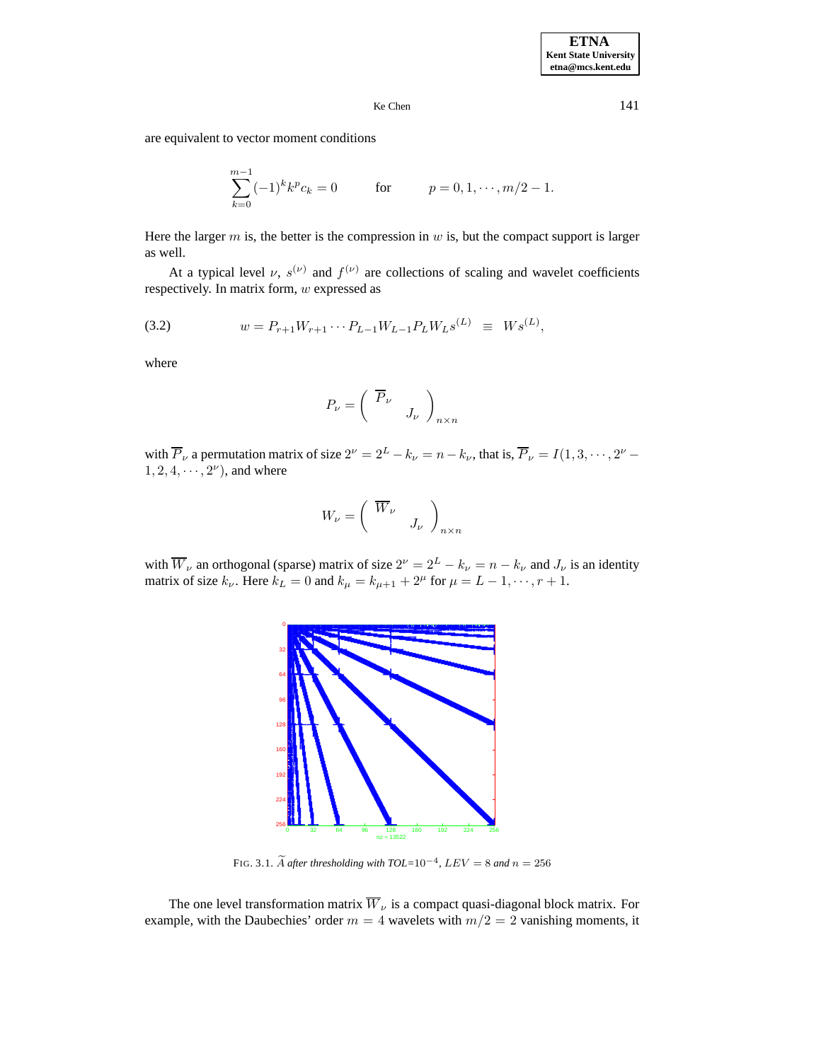are equivalent to vector moment conditions

$$
\sum_{k=0}^{m-1} (-1)^k k^p c_k = 0 \qquad \text{for} \qquad p = 0, 1, \cdots, m/2 - 1.
$$

Here the larger  $m$  is, the better is the compression in  $w$  is, but the compact support is larger as well.

At a typical level  $\nu$ ,  $s^{(\nu)}$  and  $f^{(\nu)}$  are collections of scaling and wavelet coefficients respectively. In matrix form, w expressed as

(3.2) 
$$
w = P_{r+1}W_{r+1}\cdots P_{L-1}W_{L-1}P_LW_Ls^{(L)} \equiv Ws^{(L)},
$$

where

$$
P_{\nu} = \left(\begin{array}{cc} \overline{P}_{\nu} & \\ & J_{\nu} \end{array}\right)_{n \times n}
$$

with  $\overline{P}_{\nu}$  a permutation matrix of size  $2^{\nu} = 2^L - k_{\nu} = n - k_{\nu}$ , that is,  $\overline{P}_{\nu} = I(1, 3, \dots, 2^{\nu} - \nu)$  $1, 2, 4, \cdots, 2^{\nu}$ , and where

$$
W_{\nu} = \left(\begin{array}{cc} \overline{W}_{\nu} & \\ & J_{\nu} \end{array}\right)_{n \times n}
$$

with  $\overline{W}_{\nu}$  an orthogonal (sparse) matrix of size  $2^{\nu} = 2^L - k_{\nu} = n - k_{\nu}$  and  $J_{\nu}$  is an identity matrix of size  $k_{\nu}$ . Here  $k_L = 0$  and  $k_{\mu} = k_{\mu+1} + 2^{\mu}$  for  $\mu = L - 1, \dots, r + 1$ .



FIG. 3.1. A after thresholding with  $TOL=10^{-4}$ ,  $LEV=8$  and  $n=256$ 

The one level transformation matrix  $\overline{W}_{\nu}$  is a compact quasi-diagonal block matrix. For example, with the Daubechies' order  $m = 4$  wavelets with  $m/2 = 2$  vanishing moments, it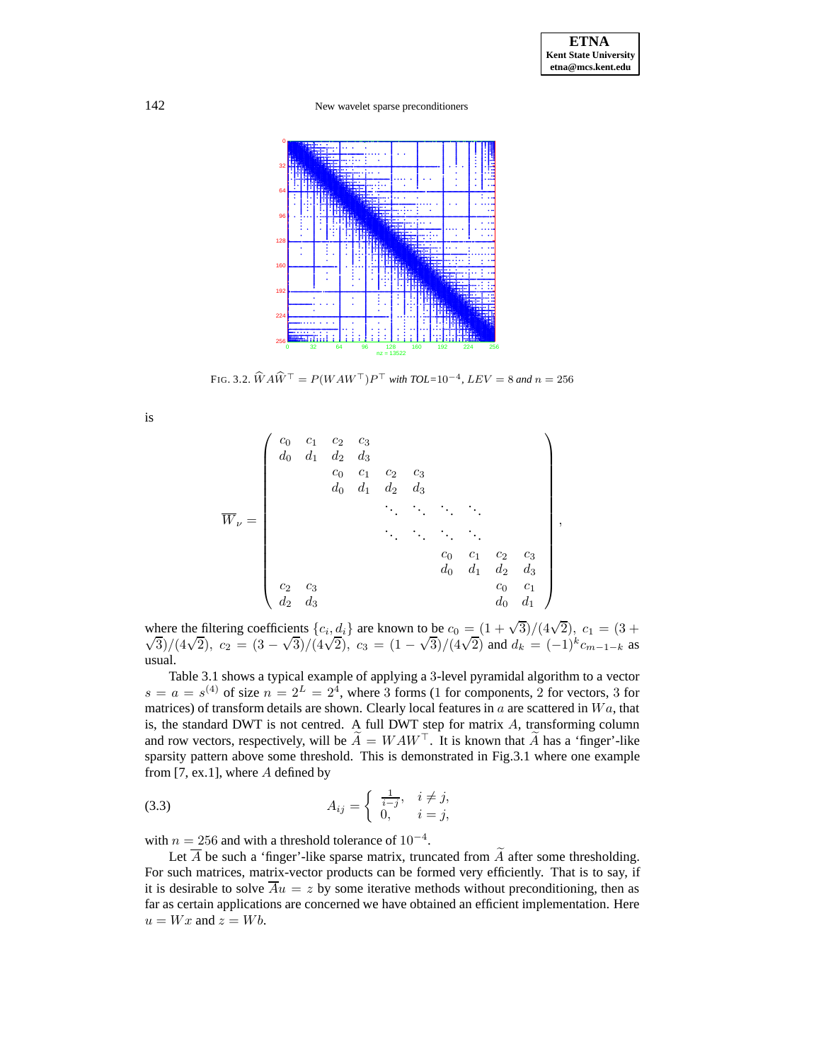

FIG. 3.2.  $\widehat{W} A \widehat{W}^{\top} = P(W A W^{\top}) P^{\top}$  *with TOL*=10<sup>-4</sup>, *LEV* = 8 *and*  $n = 256$ 

is

$$
\overline{W}_{\nu} = \begin{pmatrix} c_0 & c_1 & c_2 & c_3 \\ d_0 & d_1 & d_2 & d_3 & & & \\ & c_0 & c_1 & c_2 & c_3 & & \\ & & d_0 & d_1 & d_2 & d_3 & & \\ & & & \ddots & \ddots & \ddots & \ddots & \\ & & & & \ddots & \ddots & \ddots & \ddots & \\ & & & & & c_0 & c_1 & c_2 & c_3 \\ & & & & & & d_0 & d_1 & d_2 & d_3 \\ & & & & & & & c_0 & c_1 \\ & & & & & & & & c_0 & c_1 \\ & & & & & & & & & c_0 & c_1 \\ & & & & & & & & & d_0 & d_1 \end{pmatrix},
$$

where the filtering coefficients  $\{c_i, d_i\}$  are known to be  $c_0 = (1 + \sqrt{3})/(4\sqrt{2})$ ,  $c_1 = (3 + \sqrt{3})/(4\sqrt{2})$ ,  $c_2 = (3 - \sqrt{3})/(4\sqrt{2})$ ,  $c_3 = (1 - \sqrt{3})/(4\sqrt{2})$  and  $d_k = (-1)^k c_{m-1-k}$  as usual.

Table 3.1 shows a typical example of applying a 3-level pyramidal algorithm to a vector  $s = a = s^{(4)}$  of size  $n = 2^L = 2^4$ , where 3 forms (1 for components, 2 for vectors, 3 for matrices) of transform details are shown. Clearly local features in  $a$  are scattered in  $Wa$ , that is, the standard DWT is not centred. A full DWT step for matrix  $A$ , transforming column and row vectors, respectively, will be  $\widetilde{A} = W A W^{\top}$ . It is known that  $\widetilde{A}$  has a 'finger'-like sparsity pattern above some threshold. This is demonstrated in Fig.3.1 where one example from  $[7, ex.1]$ , where  $A$  defined by

(3.3) 
$$
A_{ij} = \begin{cases} \frac{1}{i-j}, & i \neq j, \\ 0, & i = j, \end{cases}
$$

with  $n = 256$  and with a threshold tolerance of  $10^{-4}$ .

Let  $\overline{A}$  be such a 'finger'-like sparse matrix, truncated from  $\overline{A}$  after some thresholding. For such matrices, matrix-vector products can be formed very efficiently. That is to say, if it is desirable to solve  $\overline{A}u = z$  by some iterative methods without preconditioning, then as far as certain applications are concerned we have obtained an efficient implementation. Here  $u = Wx$  and  $z = Wb$ .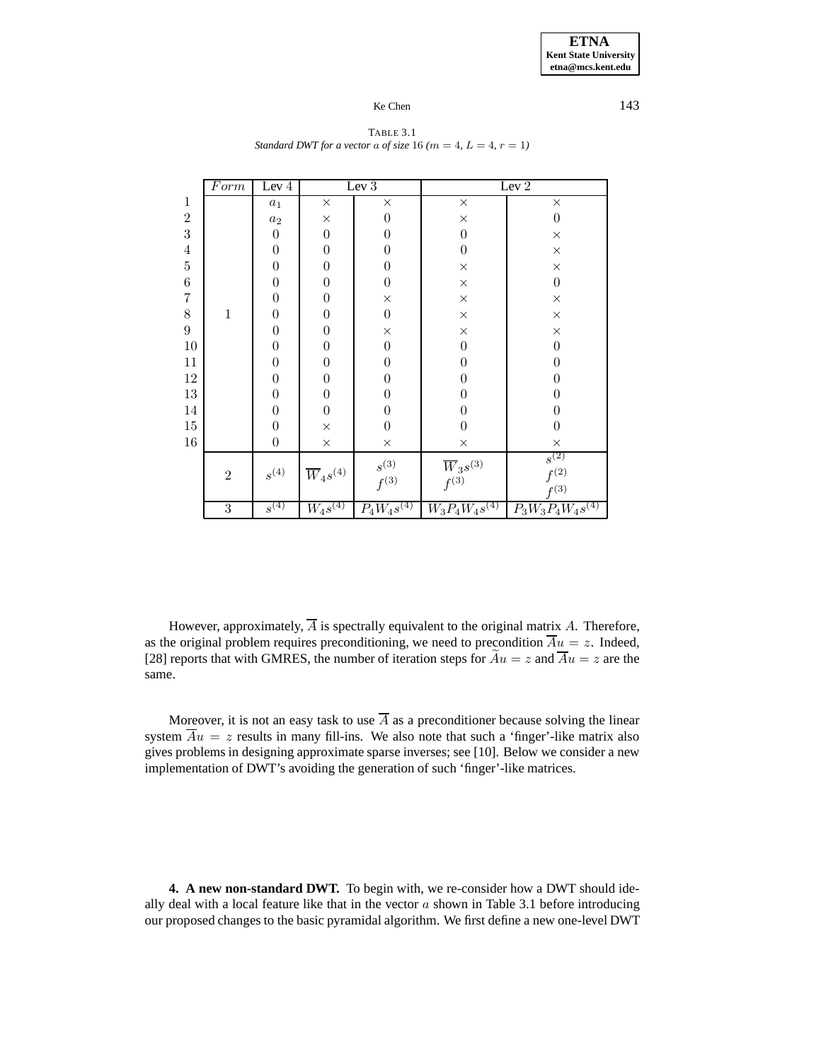Form Lev 4 Lev 3 Lev 2 1 a<sub>1</sub>  $\times$   $\times$   $\times$   $\times$  $2$  a<sub>2</sub>  $\times$  0  $\times$  0  $3$  0 0 0 0 0 0  $\times$ 4 0 0 0 0 0 x  $5$  0 0 0 0  $\times$  x  $6$  0 0 0 0  $\times$  0  $7$  0 0 0  $\times$  x  $\times$  $8$  | 1 | 0 | 0 | 0 |  $\times$  |  $\times$  $9$  0 0 0  $\times$  x  $\times$ 10 0 0 0 0 0 0 0 11 0 0 0 0 0 0 12 0 0 0 0 0 0 13 0 0 0 0 0 0 14 0 0 0 0 0 0 0  $15$  0  $\times$  0 0 0 0  $16$  0  $\times$   $\times$   $\times$   $\times$ 2  $s^{(4)}$   $\frac{1}{W_4s^{(4)}}$   $s^{(3)}$  $f^{(3)}$  $\overline{W}_3s^{(3)}$  $f^{(3)}$  $\overline{s^{(2)}}$  $f^{(2)}$  $f(3)$  $\begin{array}{|c|c|c|c|c|c|c|c|} \hline 3 & & s^{(4)} & W_4s^{(4)} & P_4W_4s^{(4)} & W_3P_4W_4s^{(4)} & P_3W_3P_4W_4s^{(4)} \hline \ \hline \end{array}$ 

#### TABLE 3.1 *Standard DWT for a vector a of size* 16  $(m = 4, L = 4, r = 1)$

However, approximately,  $\overline{A}$  is spectrally equivalent to the original matrix A. Therefore, as the original problem requires preconditioning, we need to precondition  $\overline{A}u = z$ . Indeed, [28] reports that with GMRES, the number of iteration steps for  $\widetilde{A}u = z$  and  $\overline{A}u = z$  are the same.

Moreover, it is not an easy task to use  $\overline{A}$  as a preconditioner because solving the linear system  $\overline{A}u = z$  results in many fill-ins. We also note that such a 'finger'-like matrix also gives problems in designing approximate sparse inverses; see [10]. Below we consider a new implementation of DWT's avoiding the generation of such 'finger'-like matrices.

**4. A new non-standard DWT.** To begin with, we re-consider how a DWT should ideally deal with a local feature like that in the vector  $a$  shown in Table 3.1 before introducing our proposed changes to the basic pyramidal algorithm. We first define a new one-level DWT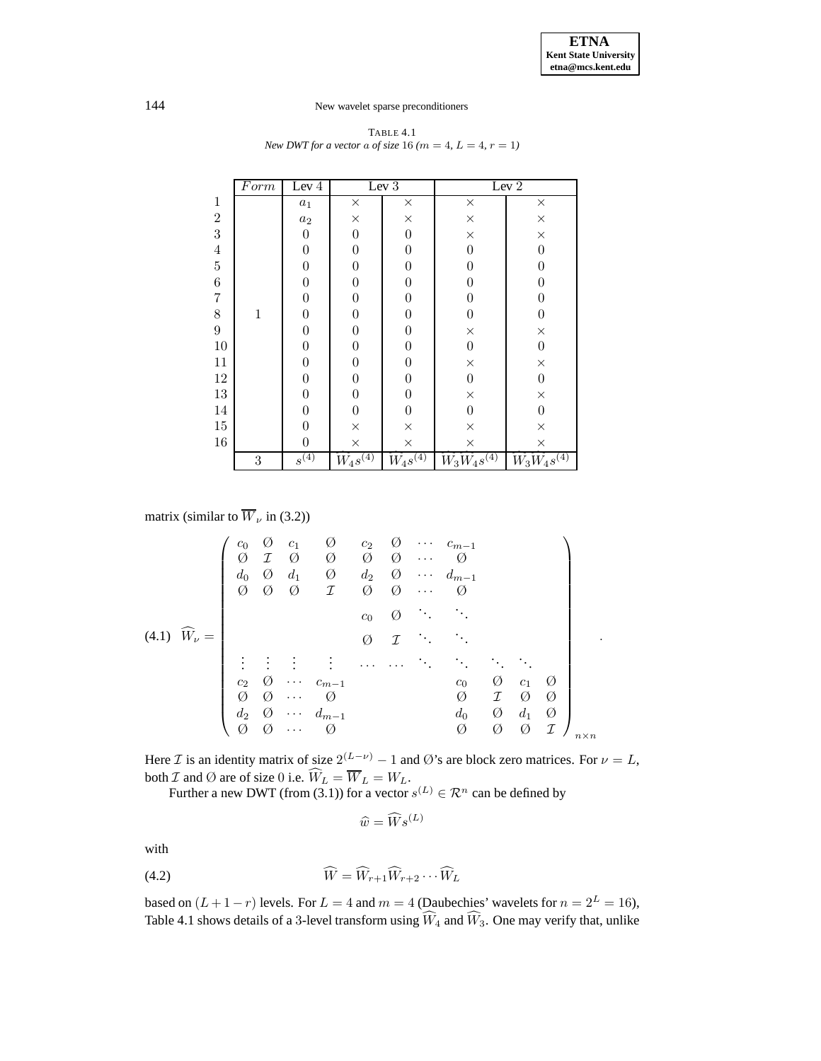|                | $\overline{F}orm$ | Lev $4$          |                  | Lev 3            |                                 | Lev $2$                               |
|----------------|-------------------|------------------|------------------|------------------|---------------------------------|---------------------------------------|
| $\mathbf 1$    |                   | $a_1$            | $\times$         | X                | $\times$                        | $\times$                              |
| $\overline{2}$ |                   | $a_2$            | $\times$         | $\times$         | $\times$                        | $\times$                              |
| 3              |                   | $\boldsymbol{0}$ | $\overline{0}$   | $\boldsymbol{0}$ | $\times$                        | $\times$                              |
| 4              |                   | $\boldsymbol{0}$ | $\overline{0}$   | $\boldsymbol{0}$ | $\boldsymbol{0}$                | $\overline{0}$                        |
| $\overline{5}$ |                   | $\overline{0}$   | $\overline{0}$   | $\boldsymbol{0}$ | $\overline{0}$                  | $\overline{0}$                        |
| 6              |                   | 0                | $\overline{0}$   | 0                | $\theta$                        | $\boldsymbol{0}$                      |
| $\overline{7}$ |                   | $\boldsymbol{0}$ | $\overline{0}$   | 0                | $\overline{0}$                  | $\boldsymbol{0}$                      |
| 8              | $\mathbf{1}$      | $\boldsymbol{0}$ | $\overline{0}$   | 0                | $\overline{0}$                  | $\boldsymbol{0}$                      |
| 9              |                   | $\boldsymbol{0}$ | $\boldsymbol{0}$ | $\boldsymbol{0}$ | $\times$                        | $\times$                              |
| 10             |                   | $\boldsymbol{0}$ | $\boldsymbol{0}$ | $\boldsymbol{0}$ | $\boldsymbol{0}$                | $\boldsymbol{0}$                      |
| 11             |                   | $\overline{0}$   | $\overline{0}$   | $\boldsymbol{0}$ | $\times$                        | $\times$                              |
| 12             |                   | $\boldsymbol{0}$ | $\boldsymbol{0}$ | $\boldsymbol{0}$ | $\boldsymbol{0}$                | $\boldsymbol{0}$                      |
| 13             |                   | $\boldsymbol{0}$ | $\overline{0}$   | $\boldsymbol{0}$ | $\times$                        | $\times$                              |
| 14             |                   | $\overline{0}$   | $\overline{0}$   | $\boldsymbol{0}$ | $\boldsymbol{0}$                | $\boldsymbol{0}$                      |
| 15             |                   | 0                | $\times$         | $\times$         | $\times$                        | $\times$                              |
| 16             |                   | $\Omega$         | $\times$         | $\times$         | $\times$                        | $\times$                              |
|                | $\boldsymbol{3}$  | $s^{(4)}$        | $W_4s^{(4)}$     | $W_4s^{(4)}$     | $\hat{W}_{3}\hat{W}_{4}s^{(4)}$ | $\widehat{W}_3 \widehat{W}_4 s^{(4)}$ |

TABLE 4.1 *New DWT for a vector a of size* 16  $(m = 4, L = 4, r = 1)$ 

matrix (similar to  $\overline{W}_{\nu}$  in (3.2))

$$
(4.1) \quad \widehat{W}_{\nu} = \begin{pmatrix} c_0 & \emptyset & c_1 & \emptyset & c_2 & \emptyset & \cdots & c_{m-1} \\ \emptyset & \mathcal{I} & \emptyset & \emptyset & \emptyset & \emptyset & \cdots & \emptyset \\ d_0 & \emptyset & d_1 & \emptyset & d_2 & \emptyset & \cdots & d_{m-1} \\ \emptyset & \emptyset & \emptyset & \mathcal{I} & \emptyset & \emptyset & \cdots & \emptyset \\ & & & & & & & & \\ & & & & & & & & & \\ & & & & & & & & & \\ & & & & & & & & & \\ & & & & & & & & & & \\ & & & & & & & & & & \\ & & & & & & & & & & \\ & & & & & & & & & & & \\ & & & & & & & & & & & \\ & & & & & & & & & & & \\ & & & & & & & & & & & & \\ & & & & & & & & & & & & \\ & & & & & & & & & & & & \\ & & & & & & & & & & & & \\ & & & & & & & & & & & & \\ & & & & & & & & & & & & \\ & & & & &
$$

Here *I* is an identity matrix of size  $2^{(L-\nu)} - 1$  and Ø's are block zero matrices. For  $\nu = L$ , both *I* and  $\emptyset$  are of size 0 i.e.  $W_L = W_L = W_L$ .<br>Further a new DWT (from (3.1)) for a vector  $s^{(L)} \in \mathcal{R}^n$  can be defined by

 $\widehat{w} = \widehat{W}_{\mathcal{S}}^{(L)}$ 

with

$$
\widehat{W} = \widehat{W}_{r+1}\widehat{W}_{r+2}\cdots\widehat{W}_{L}
$$

based on  $(L+1-r)$  levels. For  $L = 4$  and  $m = 4$  (Daubechies' wavelets for  $n = 2^L = 16$ ), Table 4.1 shows details of a 3-level transform using  $W_4$  and  $W_3$ . One may verify that, unlike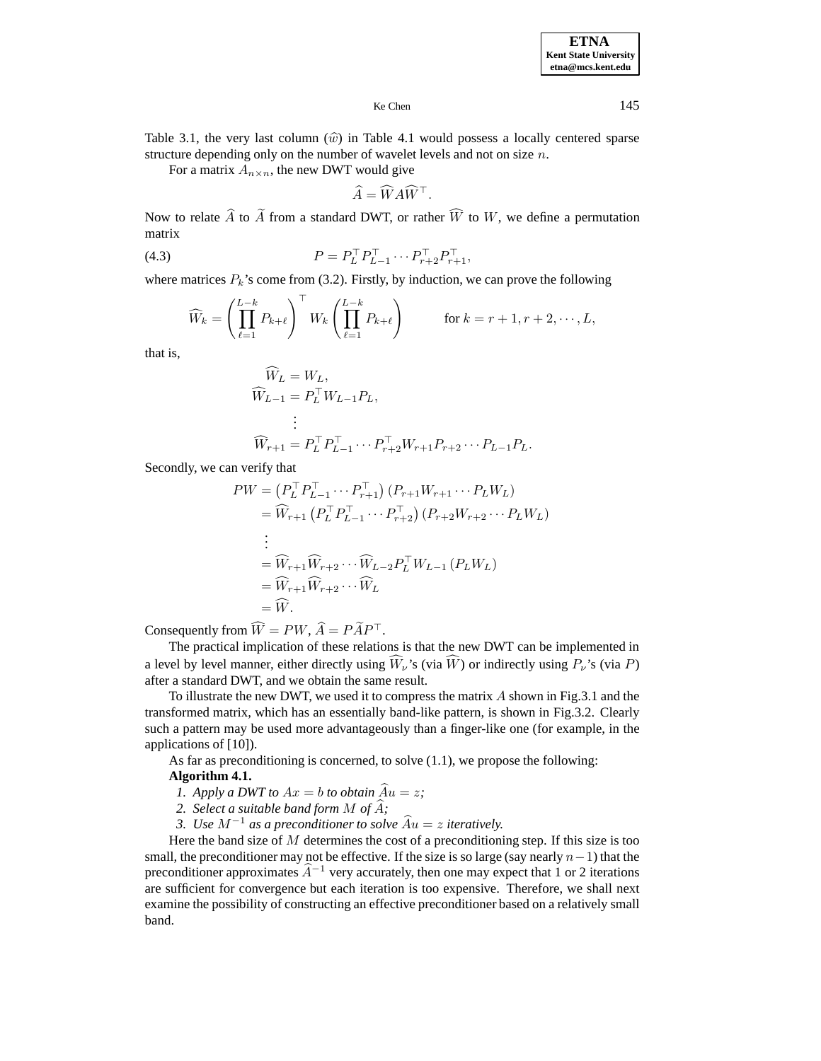Table 3.1, the very last column  $(\hat{w})$  in Table 4.1 would possess a locally centered sparse structure depending only on the number of wavelet levels and not on size  $n$ .

For a matrix  $A_{n \times n}$ , the new DWT would give

$$
\widehat{A} = \widehat{W} A \widehat{W}^{\top}.
$$

Now to relate A to A from a standard DWT, or rather W to W, we define a permutation matrix

(4.3) 
$$
P = P_L^{\top} P_{L-1}^{\top} \cdots P_{r+2}^{\top} P_{r+1}^{\top},
$$

where matrices  $P_k$ 's come from (3.2). Firstly, by induction, we can prove the following

$$
\widehat{W}_k = \left(\prod_{\ell=1}^{L-k} P_{k+\ell}\right)^{\top} W_k \left(\prod_{\ell=1}^{L-k} P_{k+\ell}\right) \qquad \text{for } k = r+1, r+2, \cdots, L,
$$

that is,

$$
\begin{aligned} \widehat{W}_L &= W_L, \\ \widehat{W}_{L-1} &= P_L^\top W_{L-1} P_L, \\ &\vdots \\ \widehat{W}_{r+1} &= P_L^\top P_{L-1}^\top \cdots P_{r+2}^\top W_{r+1} P_{r+2} \cdots P_{L-1} P_L. \end{aligned}
$$

Secondly, we can verify that

$$
PW = (P_L^\top P_{L-1}^\top \cdots P_{r+1}^\top) (P_{r+1} W_{r+1} \cdots P_L W_L)
$$
  
\n
$$
= \widehat{W}_{r+1} (P_L^\top P_{L-1}^\top \cdots P_{r+2}^\top) (P_{r+2} W_{r+2} \cdots P_L W_L)
$$
  
\n:  
\n
$$
= \widehat{W}_{r+1} \widehat{W}_{r+2} \cdots \widehat{W}_{L-2} P_L^\top W_{L-1} (P_L W_L)
$$
  
\n
$$
= \widehat{W}_{r+1} \widehat{W}_{r+2} \cdots \widehat{W}_L
$$
  
\n
$$
= \widehat{W}.
$$

Consequently from  $W = PW$ ,  $A = PAP^{\perp}$ .

The practical implication of these relations is that the new DWT can be implemented in a level by level manner, either directly using  $W_{\nu}$ 's (via  $W$ ) or indirectly using  $P_{\nu}$ 's (via  $P$ ) after a standard DWT, and we obtain the same result.

To illustrate the new DWT, we used it to compress the matrix  $\vec{A}$  shown in Fig.3.1 and the transformed matrix, which has an essentially band-like pattern, is shown in Fig.3.2. Clearly such a pattern may be used more advantageously than a finger-like one (for example, in the applications of [10]).

As far as preconditioning is concerned, to solve (1.1), we propose the following:

### **Algorithm 4.1.**

- *1. Apply a DWT to*  $Ax = b$  *to obtain*  $\widehat{Au} = z$ ;
- 2. Select a suitable band form M of  $\hat{A}$ ;
- *3. Use*  $M^{-1}$  *as a preconditioner to solve*  $Au = z$  *iteratively.*

Here the band size of  $M$  determines the cost of a preconditioning step. If this size is too small, the preconditioner may not be effective. If the size is so large (say nearly  $n-1$ ) that the preconditioner approximates  $\hat{A}^{-1}$  very accurately, then one may expect that 1 or 2 iterations are sufficient for convergence but each iteration is too expensive. Therefore, we shall next examine the possibility of constructing an effective preconditioner based on a relatively small band.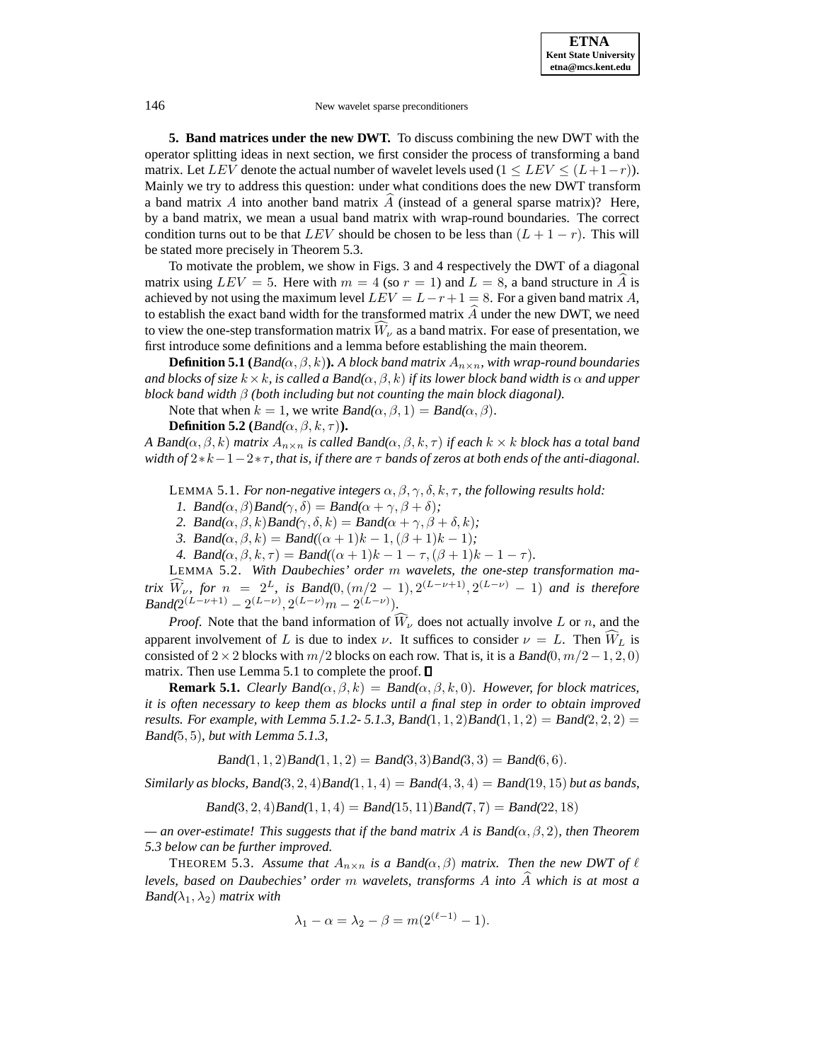**5. Band matrices under the new DWT.** To discuss combining the new DWT with the operator splitting ideas in next section, we first consider the process of transforming a band matrix. Let LEV denote the actual number of wavelet levels used  $(1 \leq LEV \leq (L+1-r))$ . Mainly we try to address this question: under what conditions does the new DWT transform a band matrix  $\hat{A}$  into another band matrix  $\hat{A}$  (instead of a general sparse matrix)? Here, by a band matrix, we mean a usual band matrix with wrap-round boundaries. The correct condition turns out to be that  $LEV$  should be chosen to be less than  $(L + 1 - r)$ . This will be stated more precisely in Theorem 5.3.

To motivate the problem, we show in Figs. 3 and 4 respectively the DWT of a diagonal matrix using  $LEV = 5$ . Here with  $m = 4$  (so  $r = 1$ ) and  $L = 8$ , a band structure in A is achieved by not using the maximum level  $LEV = L - r + 1 = 8$ . For a given band matrix A, to establish the exact band width for the transformed matrix  $\ddot{A}$  under the new DWT, we need to view the one-step transformation matrix  $W_{\nu}$  as a band matrix. For ease of presentation, we first introduce some definitions and a lemma before establishing the main theorem.

**Definition 5.1** (Band( $\alpha, \beta, k$ )). A block band matrix  $A_{n \times n}$ , with wrap-round boundaries *and blocks of size*  $k \times k$ *, is called a Band*( $\alpha, \beta, k$ ) *if its lower block band width is*  $\alpha$  *and upper block band width* β *(both including but not counting the main block diagonal).*

Note that when  $k = 1$ , we write  $Band(\alpha, \beta, 1) = Band(\alpha, \beta)$ .

**Definition 5.2** ( $Band(\alpha, \beta, k, \tau)$ ).

*A* Band( $\alpha, \beta, k$ ) *matrix*  $A_{n \times n}$  *is called* Band( $\alpha, \beta, k, \tau$ ) *if each*  $k \times k$  *block has a total band width of* 2∗k−1−2∗τ*, that is, if there are* τ *bands of zeros at both ends of the anti-diagonal.*

LEMMA 5.1. *For non-negative integers*  $\alpha, \beta, \gamma, \delta, k, \tau$ , the following results hold:

*1.* Band( $\alpha$ ,  $\beta$ )Band( $\gamma$ ,  $\delta$ ) = Band( $\alpha + \gamma$ ,  $\beta + \delta$ );

2. Band( $\alpha$ ,  $\beta$ ,  $k$ )Band( $\gamma$ ,  $\delta$ ,  $k$ ) = Band( $\alpha + \gamma$ ,  $\beta + \delta$ ,  $k$ );

*3.* Band( $\alpha, \beta, k$ ) = Band( $(\alpha + 1)k - 1$ ,  $(\beta + 1)k - 1$ )*;* 

*4.* Band( $\alpha, \beta, k, \tau$ ) = Band( $(\alpha + 1)k - 1 - \tau, (\beta + 1)k - 1 - \tau$ ).

LEMMA 5.2. *With Daubechies' order* m *wavelets, the one-step transformation matrix*  $\widehat{W}_{\nu}$ , *for*  $n = 2^L$ , *is* Band(0,  $(m/2 - 1)$ ,  $2^{(L-\nu+1)}$ ,  $2^{(L-\nu)} - 1$ ) *and is therefore* Band( $2^{(L-\nu+1)} - 2^{(L-\nu)}$ ,  $2^{(L-\nu)}m - 2^{(L-\nu)}$ ).

*Proof.* Note that the band information of  $W_{\nu}$  does not actually involve L or n, and the apparent involvement of L is due to index  $\nu$ . It suffices to consider  $\nu = L$ . Then  $W_L$  is consisted of 2 × 2 blocks with  $m/2$  blocks on each row. That is, it is a Band(0,  $m/2-1, 2, 0$ ) matrix. Then use Lemma 5.1 to complete the proof.  $\Box$ 

**Remark 5.1.** *Clearly* Band( $\alpha, \beta, k$ ) = Band( $\alpha, \beta, k, 0$ ). *However, for block matrices, it is often necessary to keep them as blocks until a final step in order to obtain improved results. For example, with Lemma 5.1.2-5.1.3, Band* $(1, 1, 2)$ *Band* $(1, 1, 2)$  = *Band* $(2, 2, 2)$  = Band(5, 5)*, but with Lemma 5.1.3,*

 $Band(1, 1, 2) Band(1, 1, 2) = Band(3, 3) Band(3, 3) = Band(6, 6).$ 

*Similarly as blocks,* Band $(3, 2, 4)$ Band $(1, 1, 4)$  = Band $(4, 3, 4)$  = Band $(19, 15)$  *but as bands,* 

 $Band(3, 2, 4) Band(1, 1, 4) = Band(15, 11) Band(7, 7) = Band(22, 18)$ 

 $-\alpha$ *n* over-estimate! This suggests that if the band matrix A is Band $(\alpha, \beta, 2)$ , then Theorem *5.3 below can be further improved.*

THEOREM 5.3. Assume that  $A_{n \times n}$  is a Band( $\alpha, \beta$ ) matrix. Then the new DWT of  $\ell$ *levels, based on Daubechies' order* <sup>m</sup> *wavelets, transforms* <sup>A</sup> *into* <sup>A</sup><sup>b</sup> *which is at most a*  $Band(\lambda_1, \lambda_2)$  *matrix with* 

$$
\lambda_1 - \alpha = \lambda_2 - \beta = m(2^{(\ell-1)} - 1).
$$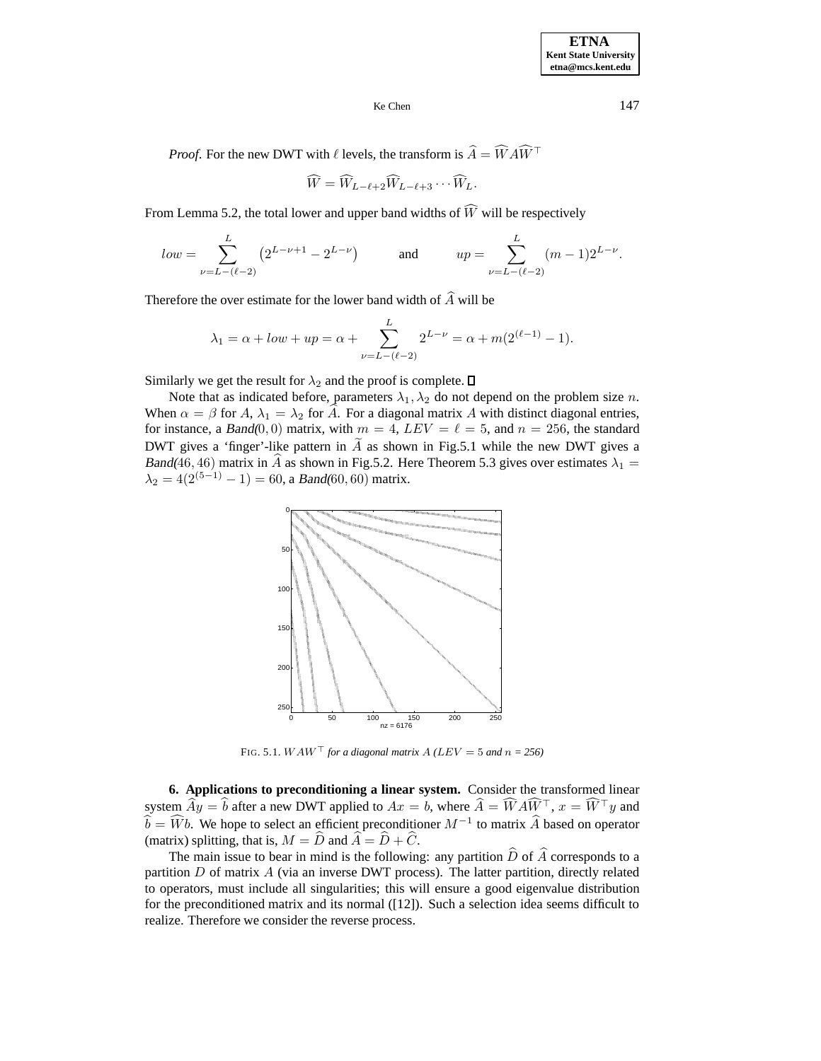*Proof.* For the new DWT with  $\ell$  levels, the transform is  $A = WAW^{\dagger}$ 

$$
\widehat{W} = \widehat{W}_{L-\ell+2} \widehat{W}_{L-\ell+3} \cdots \widehat{W}_{L}.
$$

From Lemma 5.2, the total lower and upper band widths of  $W$  will be respectively

$$
low = \sum_{\nu=L-(\ell-2)}^{L} \left(2^{L-\nu+1} - 2^{L-\nu}\right) \qquad \text{and} \qquad up = \sum_{\nu=L-(\ell-2)}^{L} (m-1)2^{L-\nu}.
$$

Therefore the over estimate for the lower band width of  $\hat{A}$  will be

$$
\lambda_1 = \alpha + low + up = \alpha + \sum_{\nu=L-(\ell-2)}^{L} 2^{L-\nu} = \alpha + m(2^{(\ell-1)} - 1).
$$

Similarly we get the result for  $\lambda_2$  and the proof is complete.  $\square$ 

Note that as indicated before, parameters  $\lambda_1, \lambda_2$  do not depend on the problem size n. When  $\alpha = \beta$  for A,  $\lambda_1 = \lambda_2$  for A. For a diagonal matrix A with distinct diagonal entries, for instance, a Band(0,0) matrix, with  $m = 4$ ,  $LEV = \ell = 5$ , and  $n = 256$ , the standard DWT gives a 'finger'-like pattern in  $\overline{A}$  as shown in Fig.5.1 while the new DWT gives a Band(46, 46) matrix in  $\hat{A}$  as shown in Fig.5.2. Here Theorem 5.3 gives over estimates  $\lambda_1 =$  $\lambda_2 = 4(2^{(5-1)} - 1) = 60$ , a Band(60, 60) matrix.



FIG. 5.1.  $WAW^{\top}$  for a diagonal matrix  $A$  ( $LEV = 5$  and  $n = 256$ )

**6. Applications to preconditioning a linear system.** Consider the transformed linear system  $Ay = b$  after a new DWT applied to  $Ax = b$ , where  $A = WAW^{\dagger}$ ,  $x = W^{\dagger}y$  and  $\widehat{b} = \widehat{W}b$ . We hope to select an efficient preconditioner  $M^{-1}$  to matrix  $\widehat{A}$  based on operator (matrix) splitting, that is,  $M = \widehat{D}$  and  $\widehat{A} = \widehat{D} + \widehat{C}$ .

The main issue to bear in mind is the following: any partition  $\hat{D}$  of  $\hat{A}$  corresponds to a partition  $D$  of matrix  $\ddot{A}$  (via an inverse DWT process). The latter partition, directly related to operators, must include all singularities; this will ensure a good eigenvalue distribution for the preconditioned matrix and its normal ([12]). Such a selection idea seems difficult to realize. Therefore we consider the reverse process.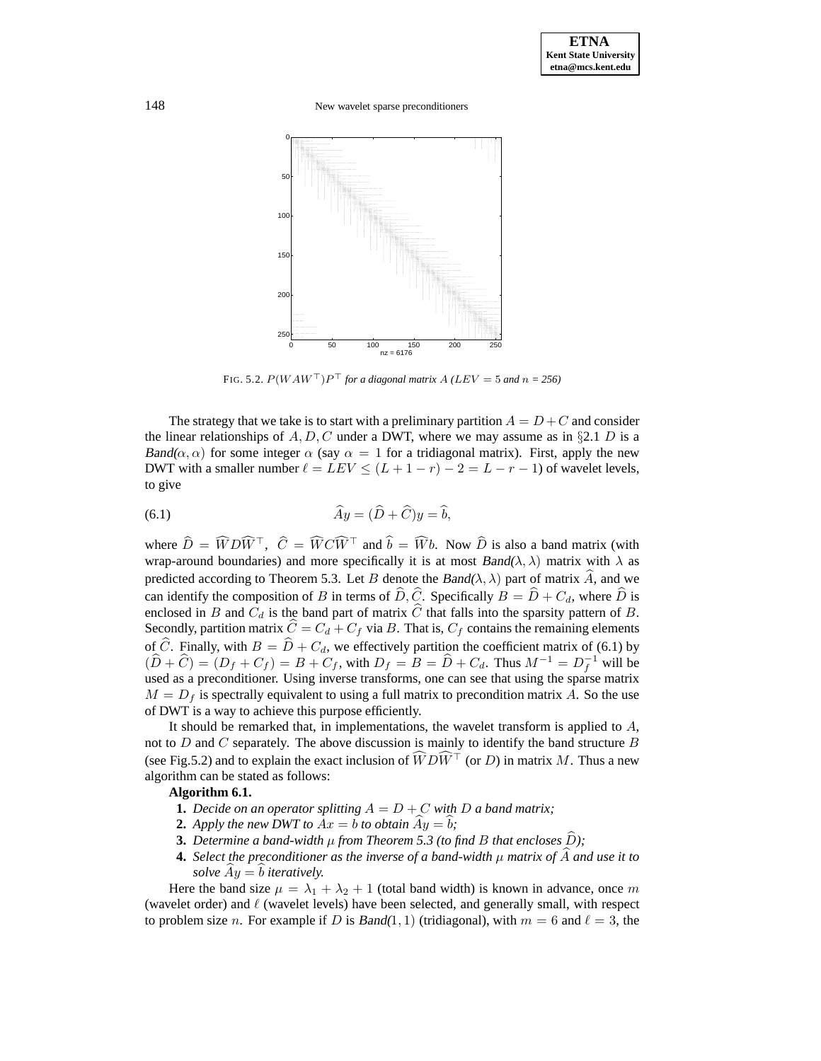148 New wavelet sparse preconditioners



FIG. 5.2.  $P(WAW^{\top})P^{\top}$  *for a diagonal matrix*  $A(LEV = 5$  *and*  $n = 256)$ 

The strategy that we take is to start with a preliminary partition  $A = D + C$  and consider the linear relationships of A, D, C under a DWT, where we may assume as in §2.1 D is a Band( $\alpha$ ,  $\alpha$ ) for some integer  $\alpha$  (say  $\alpha = 1$  for a tridiagonal matrix). First, apply the new DWT with a smaller number  $\ell = LEV \leq (L + 1 - r) - 2 = L - r - 1$  of wavelet levels, to give

(6.1) 
$$
\widehat{A}y = (\widehat{D} + \widehat{C})y = \widehat{b},
$$

where  $D = WDW^{\dagger}$ ,  $C = WCW^{\dagger}$  and  $b = Wb$ . Now D is also a band matrix (with wrap-around boundaries) and more specifically it is at most  $Band(\lambda, \lambda)$  matrix with  $\lambda$  as predicted according to Theorem 5.3. Let B denote the Band( $\lambda$ ,  $\lambda$ ) part of matrix  $\hat{A}$ , and we can identify the composition of B in terms of  $\widehat{D}$ ,  $\widehat{C}$ . Specifically  $B = \widehat{D} + C_d$ , where  $\widehat{D}$  is enclosed in B and  $C_d$  is the band part of matrix  $\hat{C}$  that falls into the sparsity pattern of B. Secondly, partition matrix  $\hat{C} = C_d + C_f$  via B. That is,  $C_f$  contains the remaining elements of  $\hat{C}$ . Finally, with  $B = \hat{D} + C_d$ , we effectively partition the coefficient matrix of (6.1) by  $(\widehat{D} + \widehat{C}) = (D_f + C_f) = B + C_f$ , with  $D_f = B = \widehat{D} + C_d$ . Thus  $M^{-1} = D_f^{-1}$  will be used as a preconditioner. Using inverse transforms, one can see that using the sparse matrix  $M = D_f$  is spectrally equivalent to using a full matrix to precondition matrix A. So the use of DWT is a way to achieve this purpose efficiently.

It should be remarked that, in implementations, the wavelet transform is applied to  $A$ , not to  $D$  and  $C$  separately. The above discussion is mainly to identify the band structure  $B$ (see Fig.5.2) and to explain the exact inclusion of  $WDW^{\perp}$  (or D) in matrix M. Thus a new algorithm can be stated as follows:

### **Algorithm 6.1.**

- **1.** *Decide on an operator splitting*  $A = D + C$  *with* D *a band matrix*;
- **2.** Apply the new DWT to  $Ax = b$  to obtain  $\hat{Ay} = \hat{b}$ ;
- **3.** Determine a band-width  $\mu$  from Theorem 5.3 (to find B that encloses  $\widehat{D}$ );
- **4.** *Select the preconditioner as the inverse of a band-width*  $\mu$  *matrix of*  $\widehat{A}$  *and use it to solve*  $Ay = b$  *iteratively.*

Here the band size  $\mu = \lambda_1 + \lambda_2 + 1$  (total band width) is known in advance, once m (wavelet order) and  $\ell$  (wavelet levels) have been selected, and generally small, with respect to problem size n. For example if D is Band $(1, 1)$  (tridiagonal), with  $m = 6$  and  $\ell = 3$ , the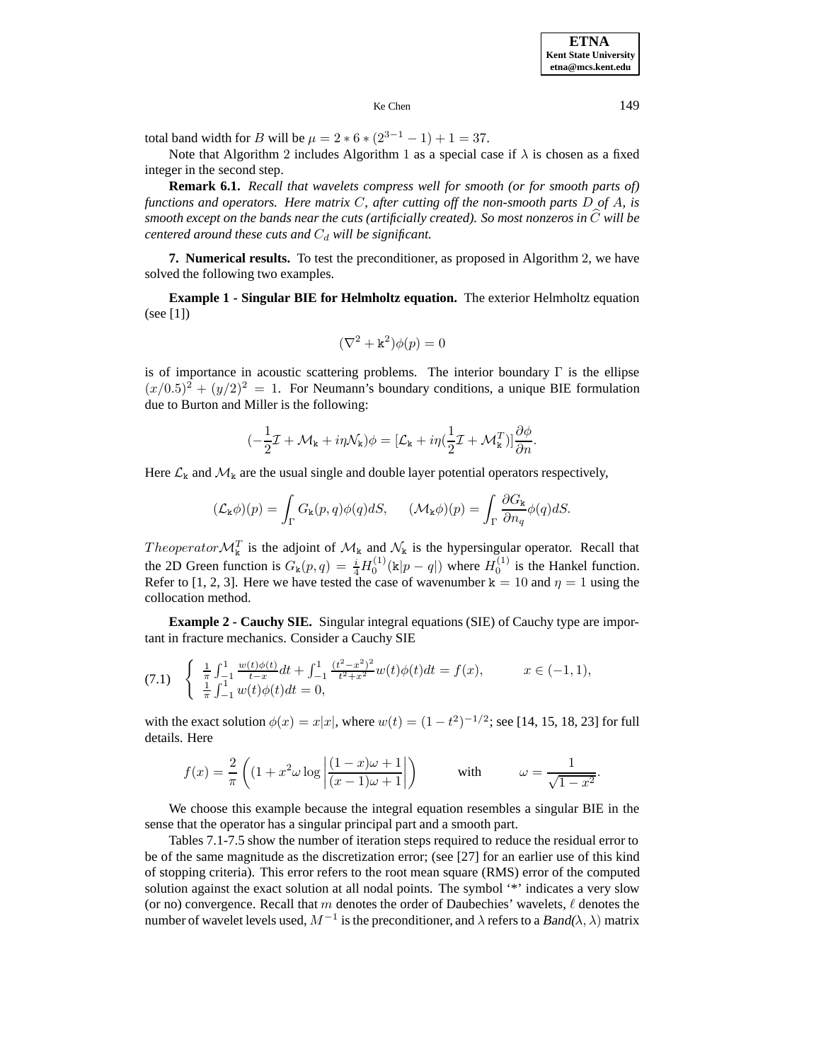**ETNA Kent State University etna@mcs.kent.edu**

#### Ke Chen 149

total band width for B will be  $\mu = 2 * 6 * (2^{3-1} - 1) + 1 = 37$ .

Note that Algorithm 2 includes Algorithm 1 as a special case if  $\lambda$  is chosen as a fixed integer in the second step.

**Remark 6.1.** *Recall that wavelets compress well for smooth (or for smooth parts of) functions and operators. Here matrix* C*, after cutting off the non-smooth parts* D *of* A*, is smooth except on the bands near the cuts (artificially created). So most nonzeros in* <sup>C</sup><sup>b</sup> *will be centered around these cuts and*  $C_d$  *will be significant.* 

**7. Numerical results.** To test the preconditioner, as proposed in Algorithm 2, we have solved the following two examples.

**Example 1 - Singular BIE for Helmholtz equation.** The exterior Helmholtz equation (see [1])

$$
(\nabla^2 + \mathbf{k}^2)\phi(p) = 0
$$

is of importance in acoustic scattering problems. The interior boundary  $\Gamma$  is the ellipse  $(x/0.5)^2 + (y/2)^2 = 1$ . For Neumann's boundary conditions, a unique BIE formulation due to Burton and Miller is the following:

$$
(-\frac{1}{2}\mathcal{I} + \mathcal{M}_{k} + i\eta \mathcal{N}_{k})\phi = [\mathcal{L}_{k} + i\eta(\frac{1}{2}\mathcal{I} + \mathcal{M}_{k}^{T})]\frac{\partial \phi}{\partial n}.
$$

Here  $\mathcal{L}_k$  and  $\mathcal{M}_k$  are the usual single and double layer potential operators respectively,

$$
(\mathcal{L}_{\mathbf{k}}\phi)(p) = \int_{\Gamma} G_{\mathbf{k}}(p,q)\phi(q)dS, \quad (\mathcal{M}_{\mathbf{k}}\phi)(p) = \int_{\Gamma} \frac{\partial G_{\mathbf{k}}}{\partial n_q}\phi(q)dS.
$$

*Theoperator*  $\mathcal{M}_{k}^{T}$  is the adjoint of  $\mathcal{M}_{k}$  and  $\mathcal{N}_{k}$  is the hypersingular operator. Recall that the 2D Green function is  $G_{\mathbf{k}}(p,q) = \frac{i}{4}H_0^{(1)}(\mathbf{k}|p-q|)$  where  $H_0^{(1)}$  is the Hankel function. Refer to [1, 2, 3]. Here we have tested the case of wavenumber  $k = 10$  and  $\eta = 1$  using the collocation method.

**Example 2 - Cauchy SIE.** Singular integral equations (SIE) of Cauchy type are important in fracture mechanics. Consider a Cauchy SIE

$$
(7.1) \quad\n\begin{cases}\n\frac{1}{\pi} \int_{-1}^{1} \frac{w(t)\phi(t)}{t-x} dt + \int_{-1}^{1} \frac{(t^2 - x^2)^2}{t^2 + x^2} w(t) \phi(t) dt = f(x), & x \in (-1, 1), \\
\frac{1}{\pi} \int_{-1}^{1} w(t) \phi(t) dt = 0,\n\end{cases}
$$

with the exact solution  $\phi(x) = x|x|$ , where  $w(t) = (1 - t^2)^{-1/2}$ ; see [14, 15, 18, 23] for full details. Here

$$
f(x) = \frac{2}{\pi} \left( \left( 1 + x^2 \omega \log \left| \frac{(1-x)\omega + 1}{(x-1)\omega + 1} \right| \right) \right) \qquad \text{with} \qquad \omega = \frac{1}{\sqrt{1-x^2}}.
$$

We choose this example because the integral equation resembles a singular BIE in the sense that the operator has a singular principal part and a smooth part.

Tables 7.1-7.5 show the number of iteration steps required to reduce the residual error to be of the same magnitude as the discretization error; (see [27] for an earlier use of this kind of stopping criteria). This error refers to the root mean square (RMS) error of the computed solution against the exact solution at all nodal points. The symbol '\*' indicates a very slow (or no) convergence. Recall that m denotes the order of Daubechies' wavelets,  $\ell$  denotes the number of wavelet levels used,  $M^{-1}$  is the preconditioner, and  $\lambda$  refers to a Band( $\lambda$ ,  $\lambda$ ) matrix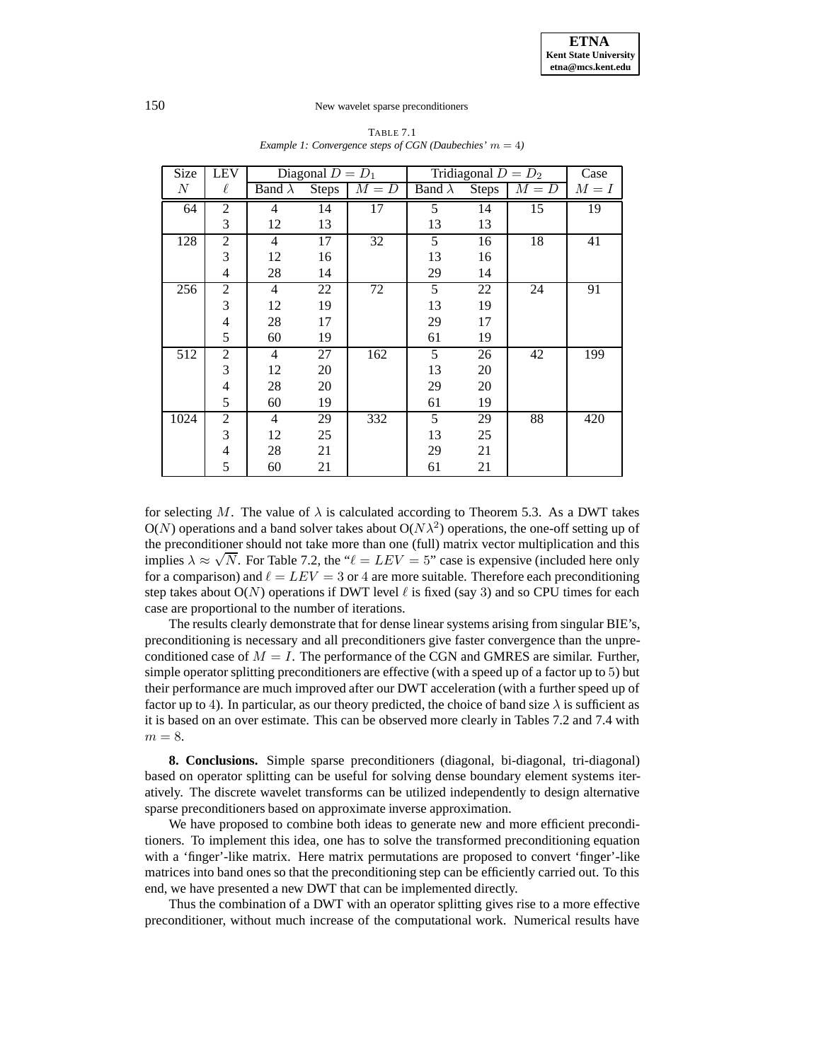| <b>Size</b>      | <b>LEV</b>     |                | Diagonal $D = D_1$ |         | Tridiagonal $D = D_2$ |                           |         | Case            |
|------------------|----------------|----------------|--------------------|---------|-----------------------|---------------------------|---------|-----------------|
| $\boldsymbol{N}$ | $\ell$         | Band $\lambda$ | Steps              | $M = D$ | Band $\lambda$        | $\overline{\text{Steps}}$ | $M = D$ | $M = I$         |
| 64               | $\overline{2}$ | 4              | 14                 | 17      | 5                     | 14                        | 15      | $\overline{19}$ |
|                  | 3              | 12             | 13                 |         | 13                    | 13                        |         |                 |
| 128              | $\overline{2}$ | $\overline{4}$ | 17                 | 32      | 5                     | 16                        | 18      | 41              |
|                  | 3              | 12             | 16                 |         | 13                    | 16                        |         |                 |
|                  | 4              | 28             | 14                 |         | 29                    | 14                        |         |                 |
| 256              | $\overline{2}$ | $\overline{4}$ | 22                 | 72      | 5                     | 22                        | 24      | 91              |
|                  | 3              | 12             | 19                 |         | 13                    | 19                        |         |                 |
|                  | $\overline{4}$ | 28             | 17                 |         | 29                    | 17                        |         |                 |
|                  | 5              | 60             | 19                 |         | 61                    | 19                        |         |                 |
| 512              | $\overline{c}$ | 4              | 27                 | 162     | 5                     | 26                        | 42      | 199             |
|                  | 3              | 12             | 20                 |         | 13                    | 20                        |         |                 |
|                  | $\overline{4}$ | 28             | 20                 |         | 29                    | 20                        |         |                 |
|                  | 5              | 60             | 19                 |         | 61                    | 19                        |         |                 |
| 1024             | $\overline{c}$ | $\overline{4}$ | 29                 | 332     | $\overline{5}$        | 29                        | 88      | 420             |
|                  | 3              | 12             | 25                 |         | 13                    | 25                        |         |                 |
|                  | 4              | 28             | 21                 |         | 29                    | 21                        |         |                 |
|                  | 5              | 60             | 21                 |         | 61                    | 21                        |         |                 |

TABLE 7.1 *Example 1: Convergence steps of CGN (Daubechies'*  $m = 4$ )

for selecting M. The value of  $\lambda$  is calculated according to Theorem 5.3. As a DWT takes  $O(N)$  operations and a band solver takes about  $O(N\lambda^2)$  operations, the one-off setting up of the preconditioner should not take more than one (full) matrix vector multiplication and this ine preconditioner should not take more than one (it if it matrix vector multiplication and this implies  $\lambda \approx \sqrt{N}$ . For Table 7.2, the " $\ell = LEV = 5$ " case is expensive (included here only for a comparison) and  $\ell = LEV = 3$  or 4 are more suitable. Therefore each preconditioning step takes about  $O(N)$  operations if DWT level  $\ell$  is fixed (say 3) and so CPU times for each case are proportional to the number of iterations.

The results clearly demonstrate that for dense linear systems arising from singular BIE's, preconditioning is necessary and all preconditioners give faster convergence than the unpreconditioned case of  $M = I$ . The performance of the CGN and GMRES are similar. Further, simple operator splitting preconditioners are effective (with a speed up of a factor up to 5) but their performance are much improved after our DWT acceleration (with a further speed up of factor up to 4). In particular, as our theory predicted, the choice of band size  $\lambda$  is sufficient as it is based on an over estimate. This can be observed more clearly in Tables 7.2 and 7.4 with  $m = 8$ .

**8. Conclusions.** Simple sparse preconditioners (diagonal, bi-diagonal, tri-diagonal) based on operator splitting can be useful for solving dense boundary element systems iteratively. The discrete wavelet transforms can be utilized independently to design alternative sparse preconditioners based on approximate inverse approximation.

We have proposed to combine both ideas to generate new and more efficient preconditioners. To implement this idea, one has to solve the transformed preconditioning equation with a 'finger'-like matrix. Here matrix permutations are proposed to convert 'finger'-like matrices into band ones so that the preconditioning step can be efficiently carried out. To this end, we have presented a new DWT that can be implemented directly.

Thus the combination of a DWT with an operator splitting gives rise to a more effective preconditioner, without much increase of the computational work. Numerical results have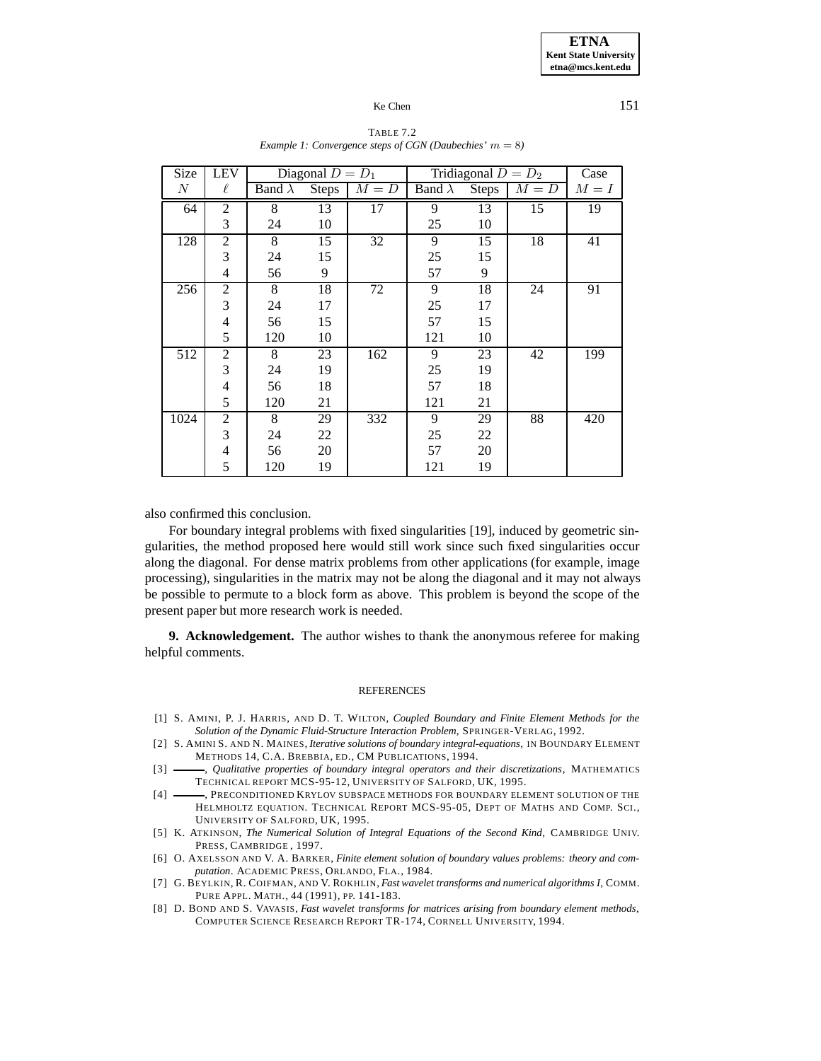| Size             | <b>LEV</b>     |                | Diagonal $D = D_1$ |         | Tridiagonal $D = D_2$ |       | Case    |         |
|------------------|----------------|----------------|--------------------|---------|-----------------------|-------|---------|---------|
| $\boldsymbol{N}$ | $\ell$         | Band $\lambda$ | Steps              | $M = D$ | Band $\lambda$        | Steps | $M = D$ | $M = I$ |
| 64               | $\overline{2}$ | 8              | 13                 | 17      | 9                     | 13    | 15      | 19      |
|                  | 3              | 24             | 10                 |         | 25                    | 10    |         |         |
| 128              | $\overline{2}$ | 8              | 15                 | 32      | 9                     | 15    | 18      | 41      |
|                  | 3              | 24             | 15                 |         | 25                    | 15    |         |         |
|                  | 4              | 56             | 9                  |         | 57                    | 9     |         |         |
| 256              | 2              | 8              | 18                 | 72      | 9                     | 18    | 24      | 91      |
|                  | 3              | 24             | 17                 |         | 25                    | 17    |         |         |
|                  | $\overline{4}$ | 56             | 15                 |         | 57                    | 15    |         |         |
|                  | 5              | 120            | 10                 |         | 121                   | 10    |         |         |
| 512              | 2              | 8              | 23                 | 162     | 9                     | 23    | 42      | 199     |
|                  | 3              | 24             | 19                 |         | 25                    | 19    |         |         |
|                  | $\overline{4}$ | 56             | 18                 |         | 57                    | 18    |         |         |
|                  | 5              | 120            | 21                 |         | 121                   | 21    |         |         |
| 1024             | $\mathfrak{2}$ | 8              | 29                 | 332     | 9                     | 29    | 88      | 420     |
|                  | 3              | 24             | 22                 |         | 25                    | 22    |         |         |
|                  | $\overline{4}$ | 56             | 20                 |         | 57                    | 20    |         |         |
|                  | 5              | 120            | 19                 |         | 121                   | 19    |         |         |

#### TABLE 7.2 *Example 1: Convergence steps of CGN (Daubechies'*  $m = 8$ )

also confirmed this conclusion.

For boundary integral problems with fixed singularities [19], induced by geometric singularities, the method proposed here would still work since such fixed singularities occur along the diagonal. For dense matrix problems from other applications (for example, image processing), singularities in the matrix may not be along the diagonal and it may not always be possible to permute to a block form as above. This problem is beyond the scope of the present paper but more research work is needed.

**9. Acknowledgement.** The author wishes to thank the anonymous referee for making helpful comments.

#### **REFERENCES**

- [1] S. AMINI, P. J. HARRIS, AND D. T. WILTON, *Coupled Boundary and Finite Element Methods for the Solution of the Dynamic Fluid-Structure Interaction Problem*, SPRINGER-VERLAG, 1992.
- [2] S. AMINI S. AND N. MAINES, *Iterative solutions of boundary integral-equations*, IN BOUNDARY ELEMENT METHODS 14, C.A. BREBBIA, ED., CM PUBLICATIONS, 1994.
- [3] , *Qualitative properties of boundary integral operators and their discretizations*, MATHEMATICS TECHNICAL REPORT MCS-95-12, UNIVERSITY OF SALFORD, UK, 1995.
- [4] RECONDITIONED KRYLOV SUBSPACE METHODS FOR BOUNDARY ELEMENT SOLUTION OF THE HELMHOLTZ EQUATION. TECHNICAL REPORT MCS-95-05, DEPT OF MATHS AND COMP. SCI., UNIVERSITY OF SALFORD, UK, 1995.
- [5] K. ATKINSON, *The Numerical Solution of Integral Equations of the Second Kind*, CAMBRIDGE UNIV. PRESS, CAMBRIDGE , 1997.
- [6] O. AXELSSON AND V. A. BARKER, *Finite element solution of boundary values problems: theory and computation*. ACADEMIC PRESS, ORLANDO, FLA., 1984.
- [7] G. BEYLKIN, R. COIFMAN, AND V. ROKHLIN, *Fast wavelet transforms and numerical algorithms I*, COMM. PURE APPL. MATH., 44 (1991), PP. 141-183.
- [8] D. BOND AND S. VAVASIS, *Fast wavelet transforms for matrices arising from boundary element methods*, COMPUTER SCIENCE RESEARCH REPORT TR-174, CORNELL UNIVERSITY, 1994.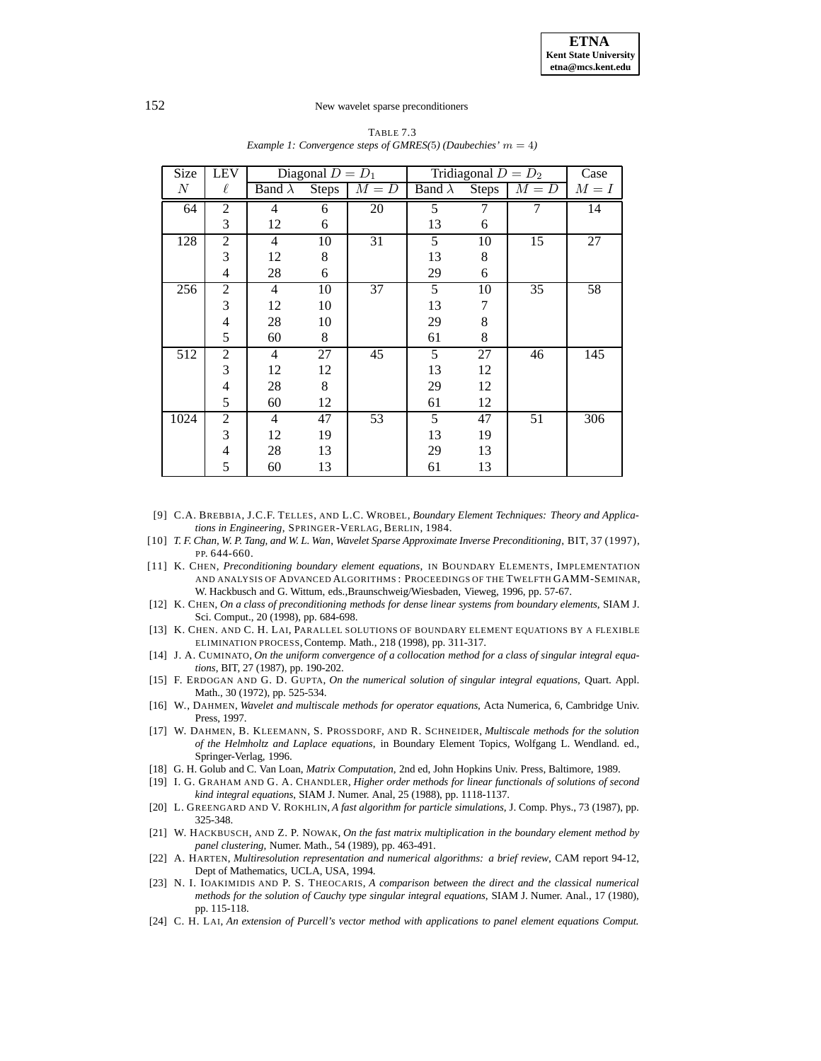| Size             | <b>LEV</b>     |                | Diagonal $D = D_1$ |         | Tridiagonal $D = D_2$ |                 |               | Case    |
|------------------|----------------|----------------|--------------------|---------|-----------------------|-----------------|---------------|---------|
| $\boldsymbol{N}$ | $\ell$         | Band $\lambda$ | Steps              | $M = D$ | Band $\lambda$        |                 | Steps $M = D$ | $M = I$ |
| 64               | $\overline{2}$ | 4              | 6                  | 20      | 5                     | 7               | 7             | 14      |
|                  | 3              | 12             | 6                  |         | 13                    | 6               |               |         |
| 128              | 2              | 4              | 10                 | 31      | 5                     | 10              | 15            | 27      |
|                  | 3              | 12             | 8                  |         | 13                    | 8               |               |         |
|                  | 4              | 28             | 6                  |         | 29                    | 6               |               |         |
| 256              | $\overline{2}$ | $\overline{4}$ | $\overline{10}$    | 37      | 5                     | $\overline{10}$ | 35            | 58      |
|                  | 3              | 12             | 10                 |         | 13                    | 7               |               |         |
|                  | $\overline{4}$ | 28             | 10                 |         | 29                    | 8               |               |         |
|                  | 5              | 60             | 8                  |         | 61                    | 8               |               |         |
| 512              | $\overline{2}$ | $\overline{4}$ | 27                 | 45      | 5                     | 27              | 46            | 145     |
|                  | 3              | 12             | 12                 |         | 13                    | 12              |               |         |
|                  | $\overline{4}$ | 28             | 8                  |         | 29                    | 12              |               |         |
|                  | 5              | 60             | 12                 |         | 61                    | 12              |               |         |
| 1024             | $\overline{2}$ | $\overline{4}$ | 47                 | 53      | 5                     | 47              | 51            | 306     |
|                  | 3              | 12             | 19                 |         | 13                    | 19              |               |         |
|                  | $\overline{4}$ | 28             | 13                 |         | 29                    | 13              |               |         |
|                  | 5              | 60             | 13                 |         | 61                    | 13              |               |         |

TABLE 7.3 *Example 1: Convergence steps of GMRES(5) (Daubechies'*  $m = 4$ )

- [9] C.A. BREBBIA, J.C.F. TELLES, AND L.C. WROBEL, *Boundary Element Techniques: Theory and Applications in Engineering*, SPRINGER-VERLAG, BERLIN, 1984.
- [10] *T. F. Chan, W. P. Tang, and W. L. Wan*, *Wavelet Sparse Approximate Inverse Preconditioning*, BIT, 37 (1997), PP. 644-660.
- [11] K. CHEN, *Preconditioning boundary element equations*, IN BOUNDARY ELEMENTS, IMPLEMENTATION AND ANALYSIS OF ADVANCED ALGORITHMS : PROCEEDINGS OF THE TWELFTH GAMM-SEMINAR, W. Hackbusch and G. Wittum, eds.,Braunschweig/Wiesbaden, Vieweg, 1996, pp. 57-67.
- [12] K. CHEN, *On a class of preconditioning methods for dense linear systems from boundary elements*, SIAM J. Sci. Comput., 20 (1998), pp. 684-698.
- [13] K. CHEN. AND C. H. LAI, PARALLEL SOLUTIONS OF BOUNDARY ELEMENT EQUATIONS BY A FLEXIBLE ELIMINATION PROCESS, Contemp. Math., 218 (1998), pp. 311-317.
- [14] J. A. CUMINATO, *On the uniform convergence of a collocation method for a class of singular integral equations*, BIT, 27 (1987), pp. 190-202.
- [15] F. ERDOGAN AND G. D. GUPTA, *On the numerical solution of singular integral equations*, Quart. Appl. Math., 30 (1972), pp. 525-534.
- [16] W., DAHMEN, *Wavelet and multiscale methods for operator equations*, Acta Numerica, 6, Cambridge Univ. Press, 1997.
- [17] W. DAHMEN, B. KLEEMANN, S. PROSSDORF, AND R. SCHNEIDER, *Multiscale methods for the solution of the Helmholtz and Laplace equations*, in Boundary Element Topics, Wolfgang L. Wendland. ed., Springer-Verlag, 1996.
- [18] G. H. Golub and C. Van Loan, *Matrix Computation*, 2nd ed, John Hopkins Univ. Press, Baltimore, 1989.
- [19] I. G. GRAHAM AND G. A. CHANDLER, *Higher order methods for linear functionals of solutions of second kind integral equations*, SIAM J. Numer. Anal, 25 (1988), pp. 1118-1137.
- [20] L. GREENGARD AND V. ROKHLIN, *A fast algorithm for particle simulations*, J. Comp. Phys., 73 (1987), pp. 325-348.
- [21] W. HACKBUSCH, AND Z. P. NOWAK, *On the fast matrix multiplication in the boundary element method by panel clustering*, Numer. Math., 54 (1989), pp. 463-491.
- [22] A. HARTEN, *Multiresolution representation and numerical algorithms: a brief review*, CAM report 94-12, Dept of Mathematics, UCLA, USA, 1994.
- [23] N. I. IOAKIMIDIS AND P. S. THEOCARIS, *A comparison between the direct and the classical numerical methods for the solution of Cauchy type singular integral equations*, SIAM J. Numer. Anal., 17 (1980), pp. 115-118.
- [24] C. H. LAI, *An extension of Purcell's vector method with applications to panel element equations Comput.*